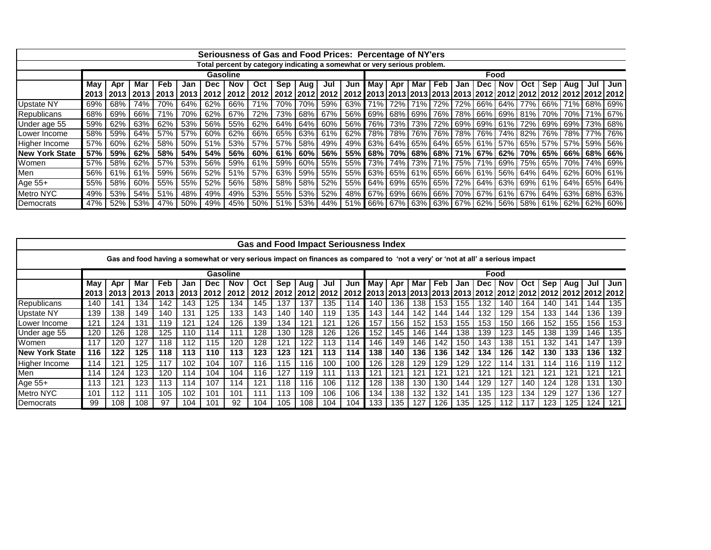|                        |       |       |     |            |           | Seriousness of Gas and Food Prices: Percentage of NY'ers                 |            |     |     |       |             |                                                                                               |         |     |         |            |     |       |            |     |           |                                                         |       |
|------------------------|-------|-------|-----|------------|-----------|--------------------------------------------------------------------------|------------|-----|-----|-------|-------------|-----------------------------------------------------------------------------------------------|---------|-----|---------|------------|-----|-------|------------|-----|-----------|---------------------------------------------------------|-------|
|                        |       |       |     |            |           | Total percent by category indicating a somewhat or very serious problem. |            |     |     |       |             |                                                                                               |         |     |         |            |     |       |            |     |           |                                                         |       |
|                        |       |       |     |            |           | Gasoline                                                                 |            |     |     |       |             |                                                                                               |         |     |         |            |     |       | Food       |     |           |                                                         |       |
|                        | May   | Apr   | Mar | <b>Feb</b> | Jan       | Dec                                                                      | <b>Nov</b> | Oct | Sep | Aug I | Jul         | Jun                                                                                           | I Mav I | Apr | l Mar I | <b>Feb</b> | Jan | Dec l | <b>Nov</b> | Oct | Sep   Aug | Jul                                                     | l Jun |
|                        |       |       |     |            |           |                                                                          |            |     |     |       |             |                                                                                               |         |     |         |            |     |       |            |     |           |                                                         |       |
| <b>Upstate NY</b>      | 69% l | 68% l | 74% | <b>70%</b> | 64% l     | 62%                                                                      | 66%   71%  |     |     |       |             | 70%   70%   59%   63%   71%   72%   71%   72%   72%   66%   64%   77%   66%   71%   68%   69% |         |     |         |            |     |       |            |     |           |                                                         |       |
| <b>Republicans</b>     | 68% l | 69%   | 66% | 71%        | 70%       | 62%                                                                      | 67%        | 72% |     |       |             | 73%   68%   67%   56%   69%   68%   69%   76%   78%   66%   69%   81%   70%   70%   71%   67% |         |     |         |            |     |       |            |     |           |                                                         |       |
| Under age 55           | 59% l | 62%   | 63% | 62%        | 53%       | 56%                                                                      | 55%        | 62% |     |       |             | 64%   64%   60%   56%   76%   73%   73%   72%   69%   69%   61%   72%   69%   69%   73%   68% |         |     |         |            |     |       |            |     |           |                                                         |       |
| Lower Income           | 58% l | 59% l | 64% |            | 57% 57% 1 | 60%                                                                      | $62\%$     | 66% |     |       |             | 65%   63%   61%   62%   78%   78%   76%   76%   78%   76%   74%   82%   76%   78%   77%   76% |         |     |         |            |     |       |            |     |           |                                                         |       |
| Higher Income          | 57%   | 60%   | 62% | 58%        | 50%       | 51%                                                                      | 53%        | 57% | 57% |       | 58% 49%     |                                                                                               |         |     |         |            |     |       |            |     |           | 49% 63% 64% 65% 64% 65% 61% 57% 65% 57% 57% 65% 65% 65% |       |
| <b>INew York State</b> | 57%   | 59% l | 62% | 58%        | 54%       | 54%                                                                      | 56%        | 60% | 61% | 60%   | 56% l       | 55%   68%   70%   68%   68%   71%   67%   62%   70%   65%   66%   68%   66%                   |         |     |         |            |     |       |            |     |           |                                                         |       |
| Women                  | 57%   | 58%   | 62% |            | 57% 53%   | 56%                                                                      | 59%        | 61% |     |       |             | 59%   60%   55%   55%   73%   74%   73%   71%   75%   71%   69%   75%   65%   70%   74%   69% |         |     |         |            |     |       |            |     |           |                                                         |       |
| Men                    | 56%   | 61%   | 61% | 59%        | 56%       | 52%                                                                      | 51%        | 57% | 63% | 59%   | 55%         |                                                                                               |         |     |         |            |     |       |            |     |           | 55% 63% 65% 61% 65% 66% 61% 56% 64% 64% 64% 62% 60% 61% |       |
| Age $55+$              | 55%   | 58%   | 60% | 55%        | 55%       | 52%                                                                      | 56%        | 58% | 58% | 58%   | 52%         | 55%   64%   69%   65%   65%   72%   64%   63%   69%   61%   64%   65%   64%                   |         |     |         |            |     |       |            |     |           |                                                         |       |
| <b>Metro NYC</b>       | 49%   | 53%   | 54% | 51%        | 48%       | 49%                                                                      | 49%        | 53% |     |       | 55% 53% 52% |                                                                                               |         |     |         |            |     |       |            |     |           | 48% 67% 69% 66% 66% 70% 67% 61% 67% 64% 63% 68% 63%     |       |
| Democrats              | 47% l | 52% l | 53% |            | 47% 50%   | 49% l                                                                    | 45%        | 50% |     |       |             | 51%   53%   44%   51%   66%   67%   63%   63%   67%   62%   56%   58%   61%   62%   62%   60% |         |     |         |            |     |       |            |     |           |                                                         |       |

|                       |      |      |     |             |      |                                                                                                                                |             |      |     |              |                | <b>Gas and Food Impact Seriousness Index</b>                                             |       |     |     |      |     |     |            |     |     |           |     |     |
|-----------------------|------|------|-----|-------------|------|--------------------------------------------------------------------------------------------------------------------------------|-------------|------|-----|--------------|----------------|------------------------------------------------------------------------------------------|-------|-----|-----|------|-----|-----|------------|-----|-----|-----------|-----|-----|
|                       |      |      |     |             |      | Gas and food having a somewhat or very serious impact on finances as compared to 'not a very' or 'not at all' a serious impact |             |      |     |              |                |                                                                                          |       |     |     |      |     |     |            |     |     |           |     |     |
|                       |      |      |     |             |      | Gasoline                                                                                                                       |             |      |     |              |                |                                                                                          |       |     |     |      |     |     | Food       |     |     |           |     |     |
|                       | May  | Apr  | Mar | Feb         | Jan  | Dec                                                                                                                            | Nov         | Oct  | Sep | Aug I        | Jul            | Jun                                                                                      | Mav I | Apr | Mar | Feb. | Jan | Dec | <b>Nov</b> | Oct |     | Sep   Aug | Jul | Jun |
|                       | 2013 | 2013 |     | 2013   2013 | 2013 | 2012 2012                                                                                                                      |             | 2012 |     |              | 2012 2012 2012 | 2012   2013   2013   2013   2013   2013   2012   2012   2012   2012   2012   2012   2012 |       |     |     |      |     |     |            |     |     |           |     |     |
| Republicans           | 140  | 141  | 134 | 142         | 143  | 125                                                                                                                            | $13\bar{4}$ | 145  | 137 | 137          | 135            | 114                                                                                      | 140   | 136 | 138 | 153  | 155 | 132 | 140        | 164 | 140 | 141       | 144 | 135 |
| <b>Upstate NY</b>     | 139  | 138  | 149 | 140         | 131  | 125                                                                                                                            | 133         | 143  | 140 | 140          | 119            | 135                                                                                      | 143   | 144 | 142 | 144  | 144 | 132 | 129        | 154 | 133 | 144       | 136 | 139 |
| Lower Income          | 121  | 124  | 131 | 119         | 121  | 124                                                                                                                            | 126         | 139  | 134 | $12^{\circ}$ | 121            | 126                                                                                      | 157   | 156 | 152 | 153  | 155 | 153 | 150        | 166 | 152 | 155       | 156 | 153 |
| Under age 55          | 120  | 126  | 128 | 125         | 110  | 114                                                                                                                            |             | 128  | 130 | 128          | 126            | 126                                                                                      | 152   | 145 | 146 | 144  | 138 | 139 | 123        | 145 | 138 | 139       | 146 | 135 |
| Women                 | 117  | 120  | 127 | 118         | 112  | 115                                                                                                                            | 120         | 128  | 121 | 122          | 113            | 114                                                                                      | 146   | 149 | 146 | 142  | 150 | 143 | 138        | 151 | 132 | 141       | 147 | 139 |
| <b>New York State</b> | 116  | 122  | 125 | 118         | 113  | 110                                                                                                                            | 113         | 123  | 123 | 121          | 113            | 114                                                                                      | 138   | 140 | 136 | 136  | 142 | 134 | 126        | 142 | 130 | 133       | 136 | 132 |
| Higher Income         | 114  | 121  | 125 | 117         | 102  | 104                                                                                                                            | 107         | 116  | 115 | 116          | 100            | 100                                                                                      | 126   | 128 | 129 | 129  | 129 | 122 | 14         | 131 | 114 | 116       | 119 | 112 |
| Men                   | 114  | 124  | 123 | 120         | 14   | 104                                                                                                                            | 104         | 116  | 127 | 119          | 111            | 113                                                                                      | 121   | 121 | 121 | 121  | 121 | 121 | 12′        | 121 | 121 | 121       | 121 | 121 |
| Age 55+               | 113  | 121  | 123 | 113         | 14   | 107                                                                                                                            | 14          | 121  | 118 | 116          | 106            | 112                                                                                      | 128   | 138 | 130 | 130  | 144 | 129 | 127        | 140 | 124 | 128       | 131 | 130 |
| <b>Metro NYC</b>      | 101  | 112  | 111 | 105         | 102  | 101                                                                                                                            | 101         | 111  | 113 | 109          | 106            | 106                                                                                      | 134   | 138 | 132 | 132  | 141 | 135 | 123        | 134 | 129 | 127       | 136 | 127 |
| Democrats             | 99   | 108  | 108 | 97          | 104  | 101                                                                                                                            | 92          | 104  | 105 | 108          | 104            | 104                                                                                      | 133   | 135 | 127 | 126  | 135 | 125 | 12         |     | 123 | 125       | 124 | 121 |